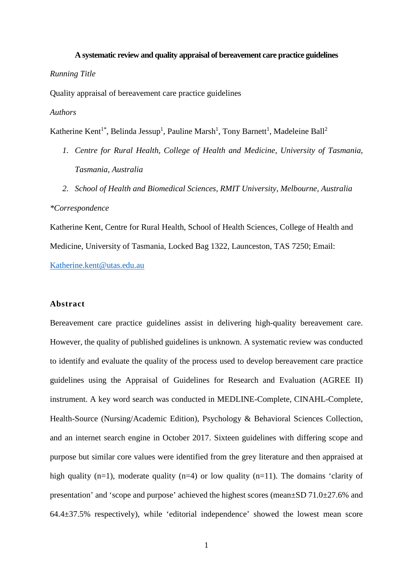# **A systematic review and quality appraisal of bereavement care practice guidelines** *Running Title*

Quality appraisal of bereavement care practice guidelines

### *Authors*

Katherine Kent<sup>1\*</sup>, Belinda Jessup<sup>1</sup>, Pauline Marsh<sup>1</sup>, Tony Barnett<sup>1</sup>, Madeleine Ball<sup>2</sup>

- *1. Centre for Rural Health, College of Health and Medicine, University of Tasmania, Tasmania, Australia*
- *2. School of Health and Biomedical Sciences, RMIT University, Melbourne, Australia*

#### *\*Correspondence*

Katherine Kent, Centre for Rural Health, School of Health Sciences, College of Health and Medicine, University of Tasmania, Locked Bag 1322, Launceston, TAS 7250; Email: [Katherine.kent@utas.edu.au](mailto:Katherine.kent@utas.edu.au)

#### **Abstract**

Bereavement care practice guidelines assist in delivering high-quality bereavement care. However, the quality of published guidelines is unknown. A systematic review was conducted to identify and evaluate the quality of the process used to develop bereavement care practice guidelines using the Appraisal of Guidelines for Research and Evaluation (AGREE II) instrument. A key word search was conducted in MEDLINE-Complete, CINAHL-Complete, Health-Source (Nursing/Academic Edition), Psychology & Behavioral Sciences Collection, and an internet search engine in October 2017. Sixteen guidelines with differing scope and purpose but similar core values were identified from the grey literature and then appraised at high quality (n=1), moderate quality (n=4) or low quality (n=11). The domains 'clarity of presentation' and 'scope and purpose' achieved the highest scores (mean±SD 71.0±27.6% and 64.4±37.5% respectively), while 'editorial independence' showed the lowest mean score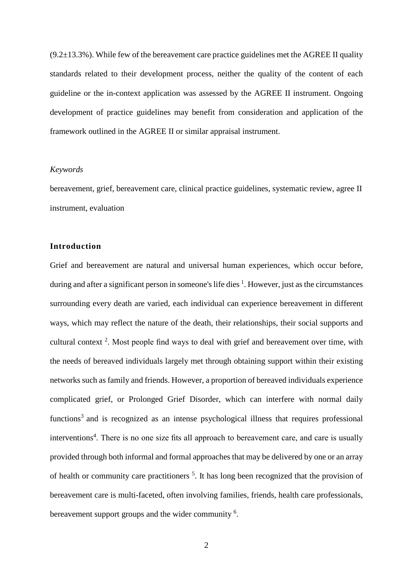$(9.2\pm13.3\%)$ . While few of the bereavement care practice guidelines met the AGREE II quality standards related to their development process, neither the quality of the content of each guideline or the in-context application was assessed by the AGREE II instrument. Ongoing development of practice guidelines may benefit from consideration and application of the framework outlined in the AGREE II or similar appraisal instrument.

#### *Keywords*

bereavement, grief, bereavement care, clinical practice guidelines, systematic review, agree II instrument, evaluation

# **Introduction**

Grief and bereavement are natural and universal human experiences, which occur before, during and after a significant person in someone's life dies <sup>1</sup>. However, just as the circumstances surrounding every death are varied, each individual can experience bereavement in different ways, which may reflect the nature of the death, their relationships, their social supports and cultural context<sup>2</sup>. Most people find ways to deal with grief and bereavement over time, with the needs of bereaved individuals largely met through obtaining support within their existing networks such as family and friends. However, a proportion of bereaved individuals experience complicated grief, or Prolonged Grief Disorder, which can interfere with normal daily functions<sup>3</sup> and is recognized as an intense psychological illness that requires professional interventions<sup>4</sup>. There is no one size fits all approach to bereavement care, and care is usually provided through both informal and formal approaches that may be delivered by one or an array of health or community care practitioners<sup>5</sup>. It has long been recognized that the provision of bereavement care is multi-faceted, often involving families, friends, health care professionals, bereavement support groups and the wider community<sup>6</sup>.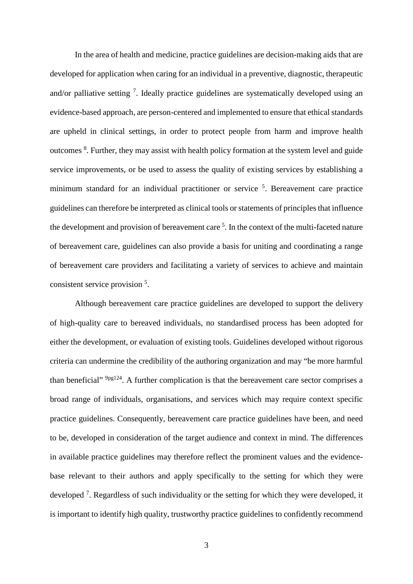In the area of health and medicine, practice guidelines are decision-making aids that are developed for application when caring for an individual in a preventive, diagnostic, therapeutic and/or palliative setting <sup>7</sup>. Ideally practice guidelines are systematically developed using an evidence-based approach, are person-centered and implemented to ensure that ethical standards are upheld in clinical settings, in order to protect people from harm and improve health outcomes <sup>8</sup>. Further, they may assist with health policy formation at the system level and guide service improvements, or be used to assess the quality of existing services by establishing a minimum standard for an individual practitioner or service <sup>5</sup>. Bereavement care practice guidelines can therefore be interpreted as clinical tools orstatements of principles that influence the development and provision of bereavement care<sup>5</sup>. In the context of the multi-faceted nature of bereavement care, guidelines can also provide a basis for uniting and coordinating a range of bereavement care providers and facilitating a variety of services to achieve and maintain consistent service provision<sup>5</sup>.

Although bereavement care practice guidelines are developed to support the delivery of high-quality care to bereaved individuals, no standardised process has been adopted for either the development, or evaluation of existing tools. Guidelines developed without rigorous criteria can undermine the credibility of the authoring organization and may "be more harmful than beneficial" 9pg124. A further complication is that the bereavement care sector comprises a broad range of individuals, organisations, and services which may require context specific practice guidelines. Consequently, bereavement care practice guidelines have been, and need to be, developed in consideration of the target audience and context in mind. The differences in available practice guidelines may therefore reflect the prominent values and the evidencebase relevant to their authors and apply specifically to the setting for which they were developed<sup>7</sup>. Regardless of such individuality or the setting for which they were developed, it is important to identify high quality, trustworthy practice guidelines to confidently recommend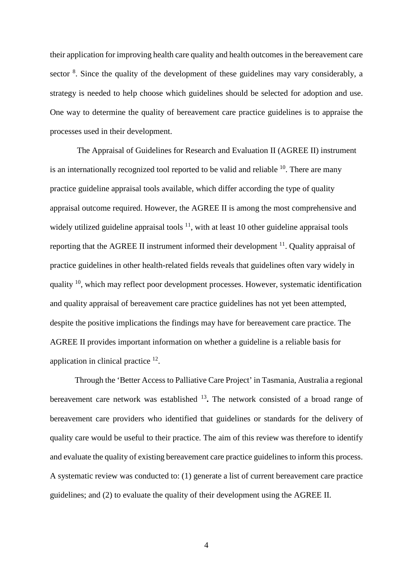their application for improving health care quality and health outcomes in the bereavement care sector <sup>8</sup>. Since the quality of the development of these guidelines may vary considerably, a strategy is needed to help choose which guidelines should be selected for adoption and use. One way to determine the quality of bereavement care practice guidelines is to appraise the processes used in their development.

The Appraisal of Guidelines for Research and Evaluation II (AGREE II) instrument is an internationally recognized tool reported to be valid and reliable  $10$ . There are many practice guideline appraisal tools available, which differ according the type of quality appraisal outcome required. However, the AGREE II is among the most comprehensive and widely utilized guideline appraisal tools  $11$ , with at least 10 other guideline appraisal tools reporting that the AGREE II instrument informed their development  $\frac{11}{11}$ . Quality appraisal of practice guidelines in other health-related fields reveals that guidelines often vary widely in quality <sup>10</sup>, which may reflect poor development processes. However, systematic identification and quality appraisal of bereavement care practice guidelines has not yet been attempted, despite the positive implications the findings may have for bereavement care practice. The AGREE II provides important information on whether a guideline is a reliable basis for application in clinical practice 12.

Through the 'Better Access to Palliative Care Project' in Tasmania, Australia a regional bereavement care network was established <sup>13</sup>**.** The network consisted of a broad range of bereavement care providers who identified that guidelines or standards for the delivery of quality care would be useful to their practice. The aim of this review was therefore to identify and evaluate the quality of existing bereavement care practice guidelines to inform this process. A systematic review was conducted to: (1) generate a list of current bereavement care practice guidelines; and (2) to evaluate the quality of their development using the AGREE II.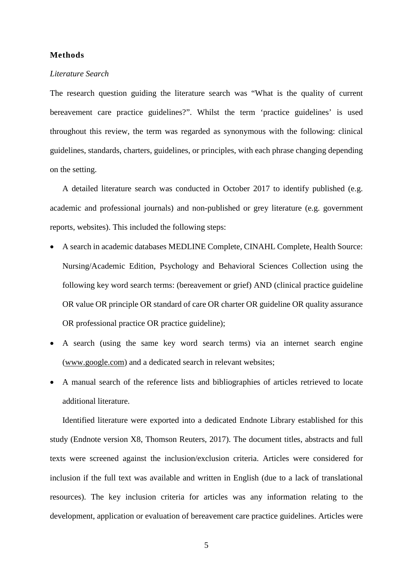### **Methods**

#### *Literature Search*

The research question guiding the literature search was "What is the quality of current bereavement care practice guidelines?". Whilst the term 'practice guidelines' is used throughout this review, the term was regarded as synonymous with the following: clinical guidelines, standards, charters, guidelines, or principles, with each phrase changing depending on the setting.

A detailed literature search was conducted in October 2017 to identify published (e.g. academic and professional journals) and non-published or grey literature (e.g. government reports, websites). This included the following steps:

- A search in academic databases MEDLINE Complete, CINAHL Complete, Health Source: Nursing/Academic Edition, Psychology and Behavioral Sciences Collection using the following key word search terms: (bereavement or grief) AND (clinical practice guideline OR value OR principle OR standard of care OR charter OR guideline OR quality assurance OR professional practice OR practice guideline);
- A search (using the same key word search terms) via an internet search engine [\(www.google.com\)](http://www.google.com/) and a dedicated search in relevant websites;
- A manual search of the reference lists and bibliographies of articles retrieved to locate additional literature.

Identified literature were exported into a dedicated Endnote Library established for this study (Endnote version X8, Thomson Reuters, 2017). The document titles, abstracts and full texts were screened against the inclusion/exclusion criteria. Articles were considered for inclusion if the full text was available and written in English (due to a lack of translational resources). The key inclusion criteria for articles was any information relating to the development, application or evaluation of bereavement care practice guidelines. Articles were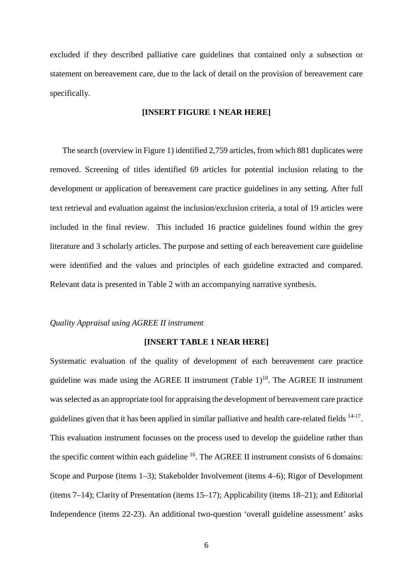excluded if they described palliative care guidelines that contained only a subsection or statement on bereavement care, due to the lack of detail on the provision of bereavement care specifically.

# **[INSERT FIGURE 1 NEAR HERE]**

The search (overview in Figure 1) identified 2,759 articles, from which 881 duplicates were removed. Screening of titles identified 69 articles for potential inclusion relating to the development or application of bereavement care practice guidelines in any setting. After full text retrieval and evaluation against the inclusion/exclusion criteria, a total of 19 articles were included in the final review. This included 16 practice guidelines found within the grey literature and 3 scholarly articles. The purpose and setting of each bereavement care guideline were identified and the values and principles of each guideline extracted and compared. Relevant data is presented in Table 2 with an accompanying narrative synthesis.

#### *Quality Appraisal using AGREE II instrument*

# **[INSERT TABLE 1 NEAR HERE]**

Systematic evaluation of the quality of development of each bereavement care practice guideline was made using the AGREE II instrument (Table  $1$ )<sup>10</sup>. The AGREE II instrument was selected as an appropriate tool for appraising the development of bereavement care practice guidelines given that it has been applied in similar palliative and health care-related fields  $14-17$ . This evaluation instrument focusses on the process used to develop the guideline rather than the specific content within each guideline  $16$ . The AGREE II instrument consists of 6 domains: Scope and Purpose (items 1–3); Stakeholder Involvement (items 4–6); Rigor of Development (items 7–14); Clarity of Presentation (items 15–17); Applicability (items 18–21); and Editorial Independence (items 22-23). An additional two-question 'overall guideline assessment' asks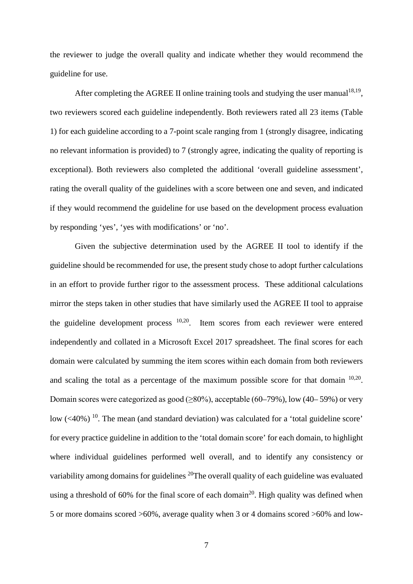the reviewer to judge the overall quality and indicate whether they would recommend the guideline for use.

After completing the AGREE II online training tools and studying the user manual<sup>18,19</sup>, two reviewers scored each guideline independently. Both reviewers rated all 23 items (Table 1) for each guideline according to a 7-point scale ranging from 1 (strongly disagree, indicating no relevant information is provided) to 7 (strongly agree, indicating the quality of reporting is exceptional). Both reviewers also completed the additional 'overall guideline assessment', rating the overall quality of the guidelines with a score between one and seven, and indicated if they would recommend the guideline for use based on the development process evaluation by responding 'yes', 'yes with modifications' or 'no'.

Given the subjective determination used by the AGREE II tool to identify if the guideline should be recommended for use, the present study chose to adopt further calculations in an effort to provide further rigor to the assessment process. These additional calculations mirror the steps taken in other studies that have similarly used the AGREE II tool to appraise the guideline development process 10,20. Item scores from each reviewer were entered independently and collated in a Microsoft Excel 2017 spreadsheet. The final scores for each domain were calculated by summing the item scores within each domain from both reviewers and scaling the total as a percentage of the maximum possible score for that domain  $10,20$ . Domain scores were categorized as good  $(\geq 80\%)$ , acceptable  $(60-79\%)$ , low  $(40-59\%)$  or very low  $( $40\%$ )<sup>10</sup>$ . The mean (and standard deviation) was calculated for a 'total guideline score' for every practice guideline in addition to the 'total domain score' for each domain, to highlight where individual guidelines performed well overall, and to identify any consistency or variability among domains for guidelines <sup>20</sup>The overall quality of each guideline was evaluated using a threshold of 60% for the final score of each domain<sup>20</sup>. High quality was defined when 5 or more domains scored >60%, average quality when 3 or 4 domains scored >60% and low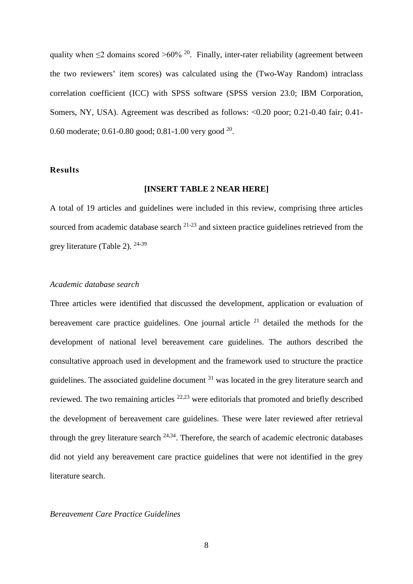quality when  $\leq$ 2 domains scored >60% <sup>20</sup>. Finally, inter-rater reliability (agreement between the two reviewers' item scores) was calculated using the (Two-Way Random) intraclass correlation coefficient (ICC) with SPSS software (SPSS version 23.0; IBM Corporation, Somers, NY, USA). Agreement was described as follows: <0.20 poor; 0.21-0.40 fair; 0.41-0.60 moderate; 0.61-0.80 good; 0.81-1.00 very good 20.

### **Results**

#### **[INSERT TABLE 2 NEAR HERE]**

A total of 19 articles and guidelines were included in this review, comprising three articles sourced from academic database search  $21-23$  and sixteen practice guidelines retrieved from the grey literature (Table 2). 24-39

## *Academic database search*

Three articles were identified that discussed the development, application or evaluation of bereavement care practice guidelines. One journal article  $2<sup>1</sup>$  detailed the methods for the development of national level bereavement care guidelines. The authors described the consultative approach used in development and the framework used to structure the practice guidelines. The associated guideline document  $31$  was located in the grey literature search and reviewed. The two remaining articles  $22,23$  were editorials that promoted and briefly described the development of bereavement care guidelines. These were later reviewed after retrieval through the grey literature search <sup>24,34</sup>. Therefore, the search of academic electronic databases did not yield any bereavement care practice guidelines that were not identified in the grey literature search.

#### *Bereavement Care Practice Guidelines*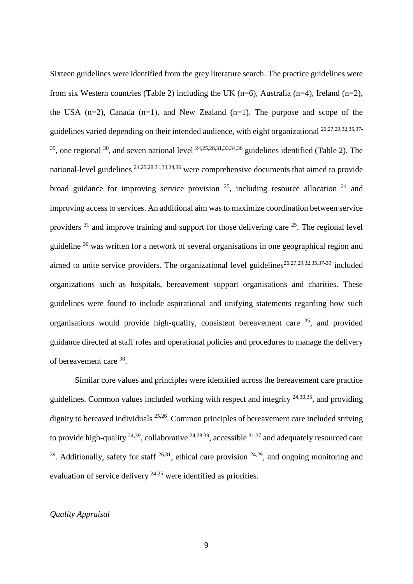Sixteen guidelines were identified from the grey literature search. The practice guidelines were from six Western countries (Table 2) including the UK (n=6), Australia (n=4), Ireland (n=2), the USA  $(n=2)$ , Canada  $(n=1)$ , and New Zealand  $(n=1)$ . The purpose and scope of the guidelines varied depending on their intended audience, with eight organizational 26,27,29,32,35,37-  $39$ , one regional  $30$ , and seven national level  $24,25,28,31,33,34,36$  guidelines identified (Table 2). The national-level guidelines 24,25,28,31,33,34,36 were comprehensive documents that aimed to provide broad guidance for improving service provision  $25$ , including resource allocation  $24$  and improving access to services. An additional aim was to maximize coordination between service providers  $31$  and improve training and support for those delivering care  $25$ . The regional level guideline <sup>30</sup> was written for a network of several organisations in one geographical region and aimed to unite service providers. The organizational level guidelines<sup>26,27,29,32,35,37-39</sup> included organizations such as hospitals, bereavement support organisations and charities. These guidelines were found to include aspirational and unifying statements regarding how such organisations would provide high-quality, consistent bereavement care  $35$ , and provided guidance directed at staff roles and operational policies and procedures to manage the delivery of bereavement care 38.

Similar core values and principles were identified across the bereavement care practice guidelines. Common values included working with respect and integrity  $24,30,35$ , and providing dignity to bereaved individuals <sup>25,26</sup>. Common principles of bereavement care included striving to provide high-quality  $24,39$ , collaborative  $24,28,39$ , accessible  $31,37$  and adequately resourced care  $39$ . Additionally, safety for staff  $26,31$ , ethical care provision  $24,29$ , and ongoing monitoring and evaluation of service delivery 24,25 were identified as priorities.

# *Quality Appraisal*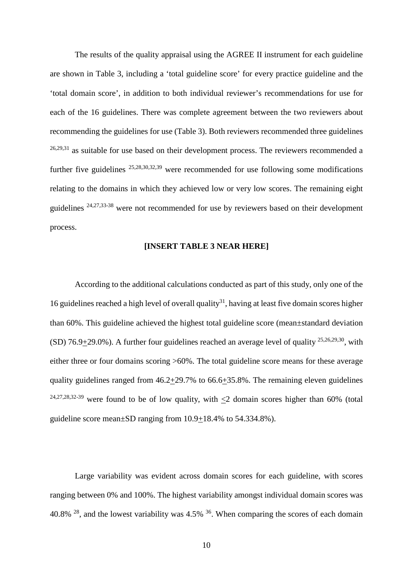The results of the quality appraisal using the AGREE II instrument for each guideline are shown in Table 3, including a 'total guideline score' for every practice guideline and the 'total domain score', in addition to both individual reviewer's recommendations for use for each of the 16 guidelines. There was complete agreement between the two reviewers about recommending the guidelines for use (Table 3). Both reviewers recommended three guidelines  $26,29,31$  as suitable for use based on their development process. The reviewers recommended a further five guidelines 25,28,30,32,39 were recommended for use following some modifications relating to the domains in which they achieved low or very low scores. The remaining eight guidelines 24,27,33-38 were not recommended for use by reviewers based on their development process.

# **[INSERT TABLE 3 NEAR HERE]**

According to the additional calculations conducted as part of this study, only one of the 16 guidelines reached a high level of overall quality<sup>31</sup>, having at least five domain scores higher than 60%. This guideline achieved the highest total guideline score (mean±standard deviation (SD) 76.9+29.0%). A further four guidelines reached an average level of quality  $25,26,29,30$ , with either three or four domains scoring >60%. The total guideline score means for these average quality guidelines ranged from  $46.2 \pm 29.7\%$  to  $66.6 \pm 35.8\%$ . The remaining eleven guidelines <sup>24,27,28,32-39</sup> were found to be of low quality, with  $\leq$  domain scores higher than 60% (total guideline score mean±SD ranging from 10.9+18.4% to 54.334.8%).

Large variability was evident across domain scores for each guideline, with scores ranging between 0% and 100%. The highest variability amongst individual domain scores was 40.8% <sup>28</sup>, and the lowest variability was 4.5% <sup>36</sup>. When comparing the scores of each domain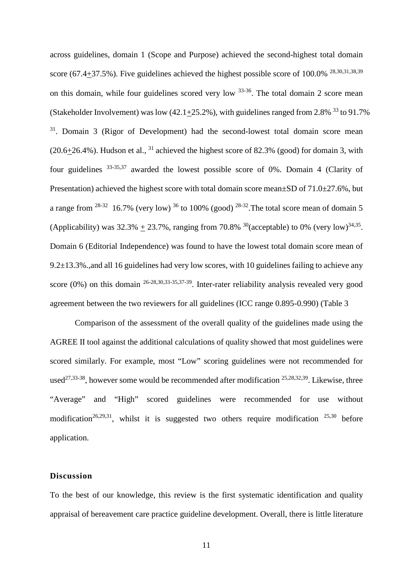across guidelines, domain 1 (Scope and Purpose) achieved the second-highest total domain score (67.4 $\pm$ 37.5%). Five guidelines achieved the highest possible score of 100.0% <sup>28,30,31,38,39</sup> on this domain, while four guidelines scored very low  $33-36$ . The total domain 2 score mean (Stakeholder Involvement) was low  $(42.1+25.2\%)$ , with guidelines ranged from 2.8% <sup>33</sup> to 91.7% <sup>31</sup>. Domain 3 (Rigor of Development) had the second-lowest total domain score mean  $(20.6+26.4\%)$ . Hudson et al., <sup>31</sup> achieved the highest score of 82.3% (good) for domain 3, with four guidelines 33-35,37 awarded the lowest possible score of 0%. Domain 4 (Clarity of Presentation) achieved the highest score with total domain score mean $\pm$ SD of 71.0 $\pm$ 27.6%, but a range from  $28-32$  16.7% (very low)  $36$  to 100% (good)  $28-32$ . The total score mean of domain 5 (Applicability) was  $32.3\% + 23.7\%$ , ranging from 70.8% <sup>30</sup>(acceptable) to 0% (very low)<sup>34,35</sup>. Domain 6 (Editorial Independence) was found to have the lowest total domain score mean of 9.2±13.3%.,and all 16 guidelines had very low scores, with 10 guidelines failing to achieve any score (0%) on this domain 26-28,30,33-35,37-39. Inter-rater reliability analysis revealed very good agreement between the two reviewers for all guidelines (ICC range 0.895-0.990) (Table 3

Comparison of the assessment of the overall quality of the guidelines made using the AGREE II tool against the additional calculations of quality showed that most guidelines were scored similarly. For example, most "Low" scoring guidelines were not recommended for used<sup>27,33-38</sup>, however some would be recommended after modification  $25,28,32,39$ . Likewise, three "Average" and "High" scored guidelines were recommended for use without modification<sup>26,29,31</sup>, whilst it is suggested two others require modification  $25,30$  before application.

## **Discussion**

To the best of our knowledge, this review is the first systematic identification and quality appraisal of bereavement care practice guideline development. Overall, there is little literature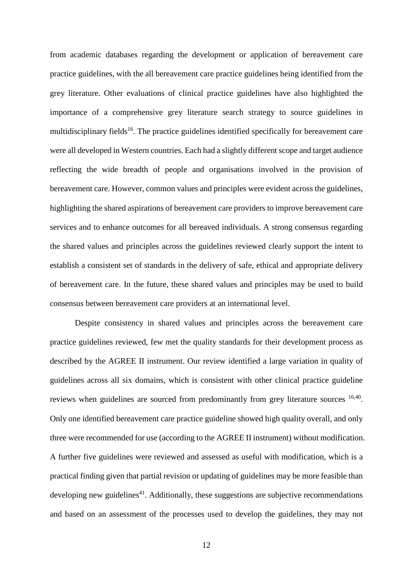from academic databases regarding the development or application of bereavement care practice guidelines, with the all bereavement care practice guidelines being identified from the grey literature. Other evaluations of clinical practice guidelines have also highlighted the importance of a comprehensive grey literature search strategy to source guidelines in multidisciplinary fields<sup>16</sup>. The practice guidelines identified specifically for bereavement care were all developed in Western countries. Each had a slightly different scope and target audience reflecting the wide breadth of people and organisations involved in the provision of bereavement care. However, common values and principles were evident across the guidelines, highlighting the shared aspirations of bereavement care providers to improve bereavement care services and to enhance outcomes for all bereaved individuals. A strong consensus regarding the shared values and principles across the guidelines reviewed clearly support the intent to establish a consistent set of standards in the delivery of safe, ethical and appropriate delivery of bereavement care. In the future, these shared values and principles may be used to build consensus between bereavement care providers at an international level.

Despite consistency in shared values and principles across the bereavement care practice guidelines reviewed, few met the quality standards for their development process as described by the AGREE II instrument. Our review identified a large variation in quality of guidelines across all six domains, which is consistent with other clinical practice guideline reviews when guidelines are sourced from predominantly from grey literature sources <sup>16,40</sup>. Only one identified bereavement care practice guideline showed high quality overall, and only three were recommended for use (according to the AGREE II instrument) without modification. A further five guidelines were reviewed and assessed as useful with modification, which is a practical finding given that partial revision or updating of guidelines may be more feasible than developing new guidelines<sup>41</sup>. Additionally, these suggestions are subjective recommendations and based on an assessment of the processes used to develop the guidelines, they may not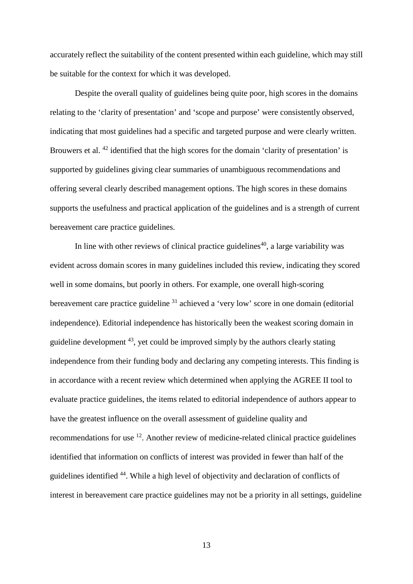accurately reflect the suitability of the content presented within each guideline, which may still be suitable for the context for which it was developed.

Despite the overall quality of guidelines being quite poor, high scores in the domains relating to the 'clarity of presentation' and 'scope and purpose' were consistently observed, indicating that most guidelines had a specific and targeted purpose and were clearly written. Brouwers et al.<sup>42</sup> identified that the high scores for the domain 'clarity of presentation' is supported by guidelines giving clear summaries of unambiguous recommendations and offering several clearly described management options. The high scores in these domains supports the usefulness and practical application of the guidelines and is a strength of current bereavement care practice guidelines.

In line with other reviews of clinical practice guidelines<sup>40</sup>, a large variability was evident across domain scores in many guidelines included this review, indicating they scored well in some domains, but poorly in others. For example, one overall high-scoring bereavement care practice guideline <sup>31</sup> achieved a 'very low' score in one domain (editorial independence). Editorial independence has historically been the weakest scoring domain in guideline development  $43$ , yet could be improved simply by the authors clearly stating independence from their funding body and declaring any competing interests. This finding is in accordance with a recent review which determined when applying the AGREE II tool to evaluate practice guidelines, the items related to editorial independence of authors appear to have the greatest influence on the overall assessment of guideline quality and recommendations for use 12. Another review of medicine-related clinical practice guidelines identified that information on conflicts of interest was provided in fewer than half of the guidelines identified 44. While a high level of objectivity and declaration of conflicts of interest in bereavement care practice guidelines may not be a priority in all settings, guideline

13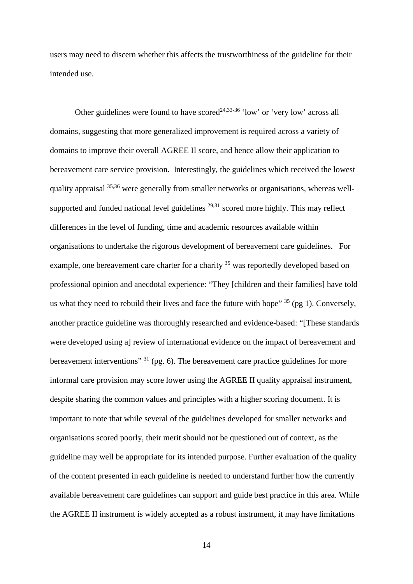users may need to discern whether this affects the trustworthiness of the guideline for their intended use.

Other guidelines were found to have scored<sup>24,33-36</sup> 'low' or 'very low' across all domains, suggesting that more generalized improvement is required across a variety of domains to improve their overall AGREE II score, and hence allow their application to bereavement care service provision. Interestingly, the guidelines which received the lowest quality appraisal 35,36 were generally from smaller networks or organisations, whereas wellsupported and funded national level guidelines  $29,31$  scored more highly. This may reflect differences in the level of funding, time and academic resources available within organisations to undertake the rigorous development of bereavement care guidelines. For example, one bereavement care charter for a charity <sup>35</sup> was reportedly developed based on professional opinion and anecdotal experience: "They [children and their families] have told us what they need to rebuild their lives and face the future with hope"  $35$  (pg 1). Conversely, another practice guideline was thoroughly researched and evidence-based: "[These standards were developed using a] review of international evidence on the impact of bereavement and bereavement interventions"  $31$  (pg. 6). The bereavement care practice guidelines for more informal care provision may score lower using the AGREE II quality appraisal instrument, despite sharing the common values and principles with a higher scoring document. It is important to note that while several of the guidelines developed for smaller networks and organisations scored poorly, their merit should not be questioned out of context, as the guideline may well be appropriate for its intended purpose. Further evaluation of the quality of the content presented in each guideline is needed to understand further how the currently available bereavement care guidelines can support and guide best practice in this area. While the AGREE II instrument is widely accepted as a robust instrument, it may have limitations

14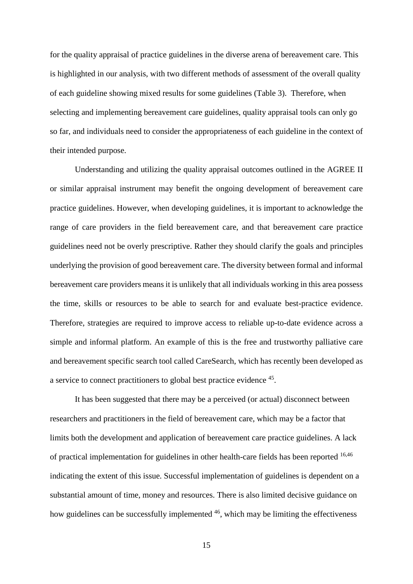for the quality appraisal of practice guidelines in the diverse arena of bereavement care. This is highlighted in our analysis, with two different methods of assessment of the overall quality of each guideline showing mixed results for some guidelines (Table 3). Therefore, when selecting and implementing bereavement care guidelines, quality appraisal tools can only go so far, and individuals need to consider the appropriateness of each guideline in the context of their intended purpose.

Understanding and utilizing the quality appraisal outcomes outlined in the AGREE II or similar appraisal instrument may benefit the ongoing development of bereavement care practice guidelines. However, when developing guidelines, it is important to acknowledge the range of care providers in the field bereavement care, and that bereavement care practice guidelines need not be overly prescriptive. Rather they should clarify the goals and principles underlying the provision of good bereavement care. The diversity between formal and informal bereavement care providers means it is unlikely that all individuals working in this area possess the time, skills or resources to be able to search for and evaluate best-practice evidence. Therefore, strategies are required to improve access to reliable up-to-date evidence across a simple and informal platform. An example of this is the free and trustworthy palliative care and bereavement specific search tool called CareSearch, which has recently been developed as a service to connect practitioners to global best practice evidence 45.

It has been suggested that there may be a perceived (or actual) disconnect between researchers and practitioners in the field of bereavement care, which may be a factor that limits both the development and application of bereavement care practice guidelines. A lack of practical implementation for guidelines in other health-care fields has been reported 16,46 indicating the extent of this issue. Successful implementation of guidelines is dependent on a substantial amount of time, money and resources. There is also limited decisive guidance on how guidelines can be successfully implemented <sup>46</sup>, which may be limiting the effectiveness

15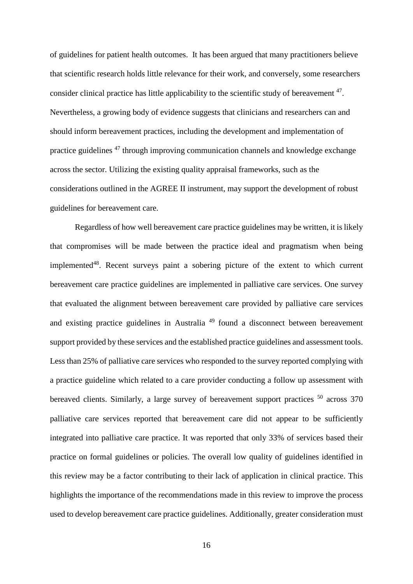of guidelines for patient health outcomes. It has been argued that many practitioners believe that scientific research holds little relevance for their work, and conversely, some researchers consider clinical practice has little applicability to the scientific study of bereavement <sup>47</sup>. Nevertheless, a growing body of evidence suggests that clinicians and researchers can and should inform bereavement practices, including the development and implementation of practice guidelines 47 through improving communication channels and knowledge exchange across the sector. Utilizing the existing quality appraisal frameworks, such as the considerations outlined in the AGREE II instrument, may support the development of robust guidelines for bereavement care.

Regardless of how well bereavement care practice guidelines may be written, it is likely that compromises will be made between the practice ideal and pragmatism when being implemented $48$ . Recent surveys paint a sobering picture of the extent to which current bereavement care practice guidelines are implemented in palliative care services. One survey that evaluated the alignment between bereavement care provided by palliative care services and existing practice guidelines in Australia <sup>49</sup> found a disconnect between bereavement support provided by these services and the established practice guidelines and assessment tools. Less than 25% of palliative care services who responded to the survey reported complying with a practice guideline which related to a care provider conducting a follow up assessment with bereaved clients. Similarly, a large survey of bereavement support practices <sup>50</sup> across 370 palliative care services reported that bereavement care did not appear to be sufficiently integrated into palliative care practice. It was reported that only 33% of services based their practice on formal guidelines or policies. The overall low quality of guidelines identified in this review may be a factor contributing to their lack of application in clinical practice. This highlights the importance of the recommendations made in this review to improve the process used to develop bereavement care practice guidelines. Additionally, greater consideration must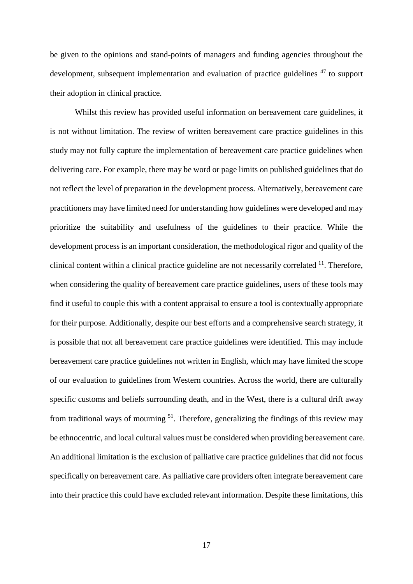be given to the opinions and stand-points of managers and funding agencies throughout the development, subsequent implementation and evaluation of practice guidelines <sup>47</sup> to support their adoption in clinical practice.

Whilst this review has provided useful information on bereavement care guidelines, it is not without limitation. The review of written bereavement care practice guidelines in this study may not fully capture the implementation of bereavement care practice guidelines when delivering care. For example, there may be word or page limits on published guidelines that do not reflect the level of preparation in the development process. Alternatively, bereavement care practitioners may have limited need for understanding how guidelines were developed and may prioritize the suitability and usefulness of the guidelines to their practice. While the development process is an important consideration, the methodological rigor and quality of the clinical content within a clinical practice guideline are not necessarily correlated <sup>11</sup>. Therefore, when considering the quality of bereavement care practice guidelines, users of these tools may find it useful to couple this with a content appraisal to ensure a tool is contextually appropriate for their purpose. Additionally, despite our best efforts and a comprehensive search strategy, it is possible that not all bereavement care practice guidelines were identified. This may include bereavement care practice guidelines not written in English, which may have limited the scope of our evaluation to guidelines from Western countries. Across the world, there are culturally specific customs and beliefs surrounding death, and in the West, there is a cultural drift away from traditional ways of mourning  $51$ . Therefore, generalizing the findings of this review may be ethnocentric, and local cultural values must be considered when providing bereavement care. An additional limitation is the exclusion of palliative care practice guidelines that did not focus specifically on bereavement care. As palliative care providers often integrate bereavement care into their practice this could have excluded relevant information. Despite these limitations, this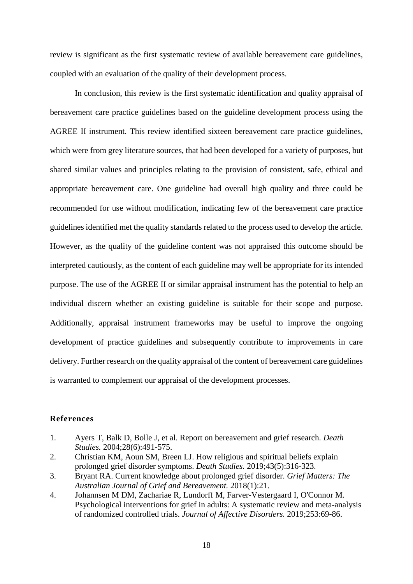review is significant as the first systematic review of available bereavement care guidelines, coupled with an evaluation of the quality of their development process.

In conclusion, this review is the first systematic identification and quality appraisal of bereavement care practice guidelines based on the guideline development process using the AGREE II instrument. This review identified sixteen bereavement care practice guidelines, which were from grey literature sources, that had been developed for a variety of purposes, but shared similar values and principles relating to the provision of consistent, safe, ethical and appropriate bereavement care. One guideline had overall high quality and three could be recommended for use without modification, indicating few of the bereavement care practice guidelines identified met the quality standards related to the process used to develop the article. However, as the quality of the guideline content was not appraised this outcome should be interpreted cautiously, as the content of each guideline may well be appropriate for its intended purpose. The use of the AGREE II or similar appraisal instrument has the potential to help an individual discern whether an existing guideline is suitable for their scope and purpose. Additionally, appraisal instrument frameworks may be useful to improve the ongoing development of practice guidelines and subsequently contribute to improvements in care delivery. Further research on the quality appraisal of the content of bereavement care guidelines is warranted to complement our appraisal of the development processes.

#### **References**

- 1. Ayers T, Balk D, Bolle J, et al. Report on bereavement and grief research. *Death Studies.* 2004;28(6):491-575.
- 2. Christian KM, Aoun SM, Breen LJ. How religious and spiritual beliefs explain prolonged grief disorder symptoms. *Death Studies.* 2019;43(5):316-323.
- 3. Bryant RA. Current knowledge about prolonged grief disorder. *Grief Matters: The Australian Journal of Grief and Bereavement.* 2018(1):21.
- 4. Johannsen M DM, Zachariae R, Lundorff M, Farver-Vestergaard I, O'Connor M. Psychological interventions for grief in adults: A systematic review and meta-analysis of randomized controlled trials. *Journal of Affective Disorders.* 2019;253:69-86.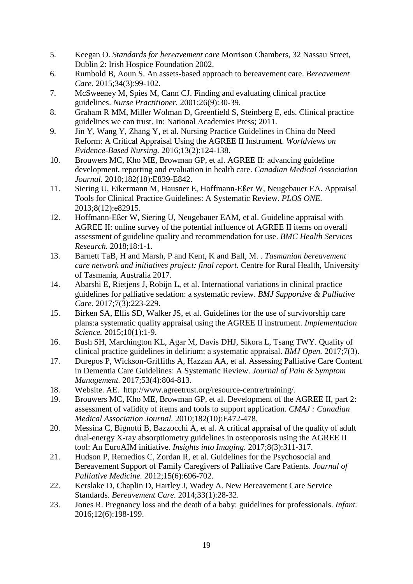- 5. Keegan O. *Standards for bereavement care* Morrison Chambers, 32 Nassau Street, Dublin 2: Irish Hospice Foundation 2002.
- 6. Rumbold B, Aoun S. An assets-based approach to bereavement care. *Bereavement Care.* 2015;34(3):99-102.
- 7. McSweeney M, Spies M, Cann CJ. Finding and evaluating clinical practice guidelines. *Nurse Practitioner.* 2001;26(9):30-39.
- 8. Graham R MM, Miller Wolman D, Greenfield S, Steinberg E, eds. Clinical practice guidelines we can trust. In: National Academies Press; 2011.
- 9. Jin Y, Wang Y, Zhang Y, et al. Nursing Practice Guidelines in China do Need Reform: A Critical Appraisal Using the AGREE II Instrument. *Worldviews on Evidence-Based Nursing.* 2016;13(2):124-138.
- 10. Brouwers MC, Kho ME, Browman GP, et al. AGREE II: advancing guideline development, reporting and evaluation in health care. *Canadian Medical Association Journal.* 2010;182(18):E839-E842.
- 11. Siering U, Eikermann M, Hausner E, Hoffmann-Eßer W, Neugebauer EA. Appraisal Tools for Clinical Practice Guidelines: A Systematic Review. *PLOS ONE.*  2013;8(12):e82915.
- 12. Hoffmann-Eßer W, Siering U, Neugebauer EAM, et al. Guideline appraisal with AGREE II: online survey of the potential influence of AGREE II items on overall assessment of guideline quality and recommendation for use. *BMC Health Services Research.* 2018;18:1-1.
- 13. Barnett TaB, H and Marsh, P and Kent, K and Ball, M. . *Tasmanian bereavement care network and initiatives project: final report.* Centre for Rural Health, University of Tasmania, Australia 2017.
- 14. Abarshi E, Rietjens J, Robijn L, et al. International variations in clinical practice guidelines for palliative sedation: a systematic review. *BMJ Supportive & Palliative Care.* 2017;7(3):223-229.
- 15. Birken SA, Ellis SD, Walker JS, et al. Guidelines for the use of survivorship care plans:a systematic quality appraisal using the AGREE II instrument. *Implementation Science.* 2015;10(1):1-9.
- 16. Bush SH, Marchington KL, Agar M, Davis DHJ, Sikora L, Tsang TWY. Quality of clinical practice guidelines in delirium: a systematic appraisal. *BMJ Open.* 2017;7(3).
- 17. Durepos P, Wickson-Griffiths A, Hazzan AA, et al. Assessing Palliative Care Content in Dementia Care Guidelines: A Systematic Review. *Journal of Pain & Symptom Management.* 2017;53(4):804-813.
- 18. Website. AE. http://www.agreetrust.org/resource-centre/training/.
- 19. Brouwers MC, Kho ME, Browman GP, et al. Development of the AGREE II, part 2: assessment of validity of items and tools to support application. *CMAJ : Canadian Medical Association Journal.* 2010;182(10):E472-478.
- 20. Messina C, Bignotti B, Bazzocchi A, et al. A critical appraisal of the quality of adult dual-energy X-ray absorptiometry guidelines in osteoporosis using the AGREE II tool: An EuroAIM initiative. *Insights into Imaging.* 2017;8(3):311-317.
- 21. Hudson P, Remedios C, Zordan R, et al. Guidelines for the Psychosocial and Bereavement Support of Family Caregivers of Palliative Care Patients. *Journal of Palliative Medicine.* 2012;15(6):696-702.
- 22. Kerslake D, Chaplin D, Hartley J, Wadey A. New Bereavement Care Service Standards. *Bereavement Care.* 2014;33(1):28-32.
- 23. Jones R. Pregnancy loss and the death of a baby: guidelines for professionals. *Infant.*  2016;12(6):198-199.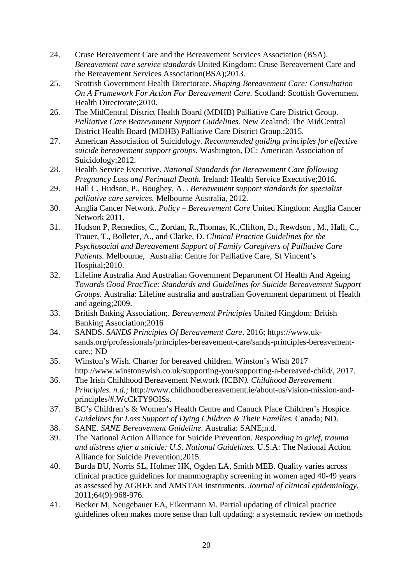- 24. Cruse Bereavement Care and the Bereavement Services Association (BSA). *Bereavement care service standards* United Kingdom: Cruse Bereavement Care and the Bereavement Services Association(BSA);2013.
- 25. Scottish Government Health Directorate. *Shaping Bereavement Care: Consultation On A Framework For Action For Bereavement Care.* Scotland: Scottish Government Health Directorate;2010.
- 26. The MidCentral District Health Board (MDHB) Palliative Care District Group. *Palliative Care Bearevament Support Guidelines.* New Zealand: The MidCentral District Health Board (MDHB) Palliative Care District Group.;2015.
- 27. American Association of Suicidology. *Recommended guiding principles for effective suicide bereavement support groups.* Washington, DC: American Association of Suicidology;2012.
- 28. Health Service Executive. *National Standards for Bereavement Care following Pregnancy Loss and Perinatal Death.* Ireland: Health Service Executive;2016.
- 29. Hall C, Hudson, P., Boughey, A. . *Bereavement support standards for specialist palliative care services.* Melbourne Australia, 2012.
- 30. Anglia Cancer Network. *Policy – Bereavement Care* United Kingdom: Anglia Cancer Network 2011.
- 31. Hudson P, Remedios, C., Zordan, R.,Thomas, K.,Clifton, D., Rewdson , M., Hall, C., Trauer, T., Bolleter, A., and Clarke, D. *Clinical Practice Guidelines for the Psychosocial and Bereavement Support of Family Caregivers of Palliative Care Patients.* Melbourne, Australia: Centre for Palliative Care, St Vincent's Hospital;2010.
- 32. Lifeline Australia And Australian Government Department Of Health And Ageing *Towards Good PracTice: Standards and Guidelines for Suicide Bereavement Support Groups.* Australia: Lifeline australia and australian Government department of Health and ageing;2009.
- 33. British Bnking Association;. *Bereavement Principles* United Kingdom: British Banking Association;2016
- 34. SANDS. *SANDS Principles Of Bereavement Care*. 2016; https://www.uksands.org/professionals/principles-bereavement-care/sands-principles-bereavementcare.; ND
- 35. Winston's Wish. Charter for bereaved children. Winston's Wish 2017 http://www.winstonswish.co.uk/supporting-you/supporting-a-bereaved-child/, 2017.
- 36. The Irish Childhood Bereavement Network (ICBN*). Childhood Bereavement Principles. n.d.;* http://www.childhoodbereavement.ie/about-us/vision-mission-andprinciples/#.WcCkTY9OISs.
- 37. BC's Children's & Women's Health Centre and Canuck Place Children's Hospice. *Guidelines for Loss Support of Dying Children & Their Families.* Canada; ND.
- 38. SANE. *SANE Bereavement Guideline.* Australia: SANE;n.d.
- 39. The National Action Alliance for Suicide Prevention. *Responding to grief, trauma and distress after a suicide: U.S. National Guidelines.* U.S.A: The National Action Alliance for Suicide Prevention;2015.
- 40. Burda BU, Norris SL, Holmer HK, Ogden LA, Smith MEB. Quality varies across clinical practice guidelines for mammography screening in women aged 40-49 years as assessed by AGREE and AMSTAR instruments. *Journal of clinical epidemiology.*  2011;64(9):968-976.
- 41. Becker M, Neugebauer EA, Eikermann M. Partial updating of clinical practice guidelines often makes more sense than full updating: a systematic review on methods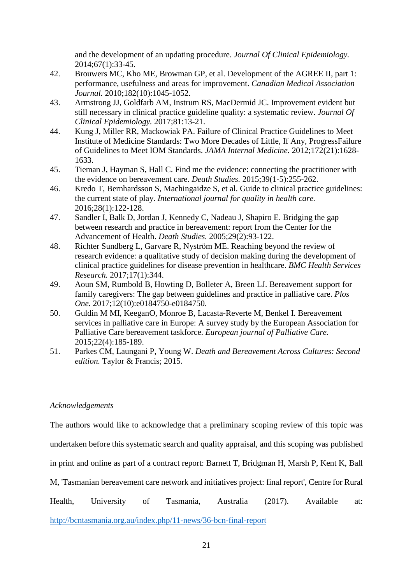and the development of an updating procedure. *Journal Of Clinical Epidemiology.*  2014;67(1):33-45.

- 42. Brouwers MC, Kho ME, Browman GP, et al. Development of the AGREE II, part 1: performance, usefulness and areas for improvement. *Canadian Medical Association Journal.* 2010;182(10):1045-1052.
- 43. Armstrong JJ, Goldfarb AM, Instrum RS, MacDermid JC. Improvement evident but still necessary in clinical practice guideline quality: a systematic review. *Journal Of Clinical Epidemiology.* 2017;81:13-21.
- 44. Kung J, Miller RR, Mackowiak PA. Failure of Clinical Practice Guidelines to Meet Institute of Medicine Standards: Two More Decades of Little, If Any, ProgressFailure of Guidelines to Meet IOM Standards. *JAMA Internal Medicine.* 2012;172(21):1628- 1633.
- 45. Tieman J, Hayman S, Hall C. Find me the evidence: connecting the practitioner with the evidence on bereavement care. *Death Studies.* 2015;39(1-5):255-262.
- 46. Kredo T, Bernhardsson S, Machingaidze S, et al. Guide to clinical practice guidelines: the current state of play. *International journal for quality in health care.*  2016;28(1):122-128.
- 47. Sandler I, Balk D, Jordan J, Kennedy C, Nadeau J, Shapiro E. Bridging the gap between research and practice in bereavement: report from the Center for the Advancement of Health. *Death Studies.* 2005;29(2):93-122.
- 48. Richter Sundberg L, Garvare R, Nyström ME. Reaching beyond the review of research evidence: a qualitative study of decision making during the development of clinical practice guidelines for disease prevention in healthcare. *BMC Health Services Research.* 2017;17(1):344.
- 49. Aoun SM, Rumbold B, Howting D, Bolleter A, Breen LJ. Bereavement support for family caregivers: The gap between guidelines and practice in palliative care. *Plos One.* 2017;12(10):e0184750-e0184750.
- 50. Guldin M MI, KeeganO, Monroe B, Lacasta-Reverte M, Benkel I. Bereavement services in palliative care in Europe: A survey study by the European Association for Palliative Care bereavement taskforce. *European journal of Palliative Care.*  2015;22(4):185-189.
- 51. Parkes CM, Laungani P, Young W. *Death and Bereavement Across Cultures: Second edition.* Taylor & Francis; 2015.

# *Acknowledgements*

The authors would like to acknowledge that a preliminary scoping review of this topic was

undertaken before this systematic search and quality appraisal, and this scoping was published

in print and online as part of a contract report: Barnett T, Bridgman H, Marsh P, Kent K, Ball

M, 'Tasmanian bereavement care network and initiatives project: final report', Centre for Rural

Health, University of Tasmania, Australia (2017). Available at:

<http://bcntasmania.org.au/index.php/11-news/36-bcn-final-report>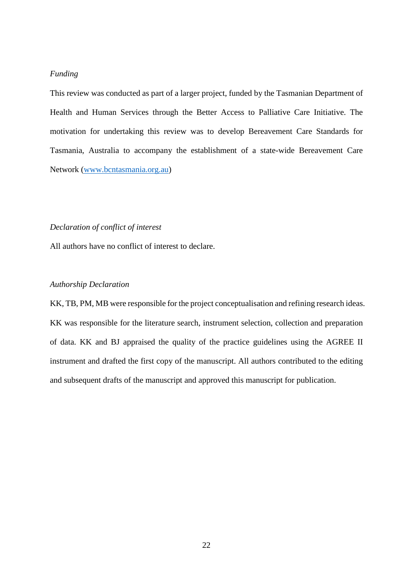# *Funding*

This review was conducted as part of a larger project, funded by the Tasmanian Department of Health and Human Services through the Better Access to Palliative Care Initiative. The motivation for undertaking this review was to develop Bereavement Care Standards for Tasmania, Australia to accompany the establishment of a state-wide Bereavement Care Network [\(www.bcntasmania.org.au\)](http://www.bcntasmania.org.au/)

#### *Declaration of conflict of interest*

All authors have no conflict of interest to declare.

# *Authorship Declaration*

KK, TB, PM, MB were responsible for the project conceptualisation and refining research ideas. KK was responsible for the literature search, instrument selection, collection and preparation of data. KK and BJ appraised the quality of the practice guidelines using the AGREE II instrument and drafted the first copy of the manuscript. All authors contributed to the editing and subsequent drafts of the manuscript and approved this manuscript for publication.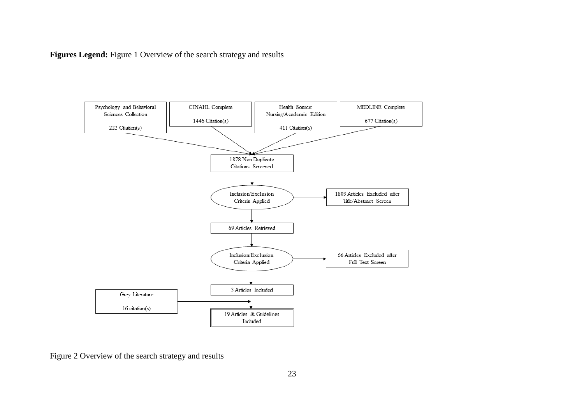**Figures Legend:** Figure 1 Overview of the search strategy and results



Figure 2 Overview of the search strategy and results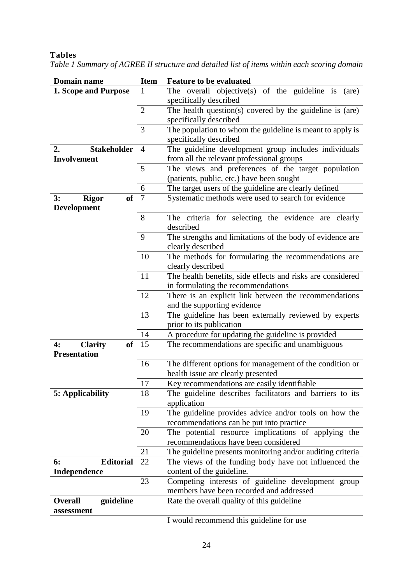# **Tables**

| <b>Domain name</b>              | <b>Item</b>    | <b>Feature to be evaluated</b>                             |
|---------------------------------|----------------|------------------------------------------------------------|
| <b>1. Scope and Purpose</b>     | 1              | The overall objective(s) of the guideline is $(are)$       |
|                                 |                | specifically described                                     |
|                                 | $\overline{2}$ | The health question(s) covered by the guideline is (are)   |
|                                 |                | specifically described                                     |
|                                 | 3              | The population to whom the guideline is meant to apply is  |
|                                 |                | specifically described                                     |
| <b>Stakeholder</b><br>2.        | $\overline{4}$ | The guideline development group includes individuals       |
| <b>Involvement</b>              |                | from all the relevant professional groups                  |
|                                 | 5              | The views and preferences of the target population         |
|                                 |                | (patients, public, etc.) have been sought                  |
|                                 | 6              | The target users of the guideline are clearly defined      |
| <b>of</b><br>3:<br><b>Rigor</b> | $\overline{7}$ | Systematic methods were used to search for evidence        |
| <b>Development</b>              |                |                                                            |
|                                 | 8              | The criteria for selecting the evidence are clearly        |
|                                 |                | described                                                  |
|                                 | 9              | The strengths and limitations of the body of evidence are  |
|                                 |                | clearly described                                          |
|                                 | 10             | The methods for formulating the recommendations are        |
|                                 |                | clearly described                                          |
|                                 | 11             | The health benefits, side effects and risks are considered |
|                                 |                | in formulating the recommendations                         |
|                                 | 12             | There is an explicit link between the recommendations      |
|                                 |                | and the supporting evidence                                |
|                                 | 13             | The guideline has been externally reviewed by experts      |
|                                 |                | prior to its publication                                   |
|                                 | 14             | A procedure for updating the guideline is provided         |
| 4:<br><b>Clarity</b>            | $of$ 15        | The recommendations are specific and unambiguous           |
| <b>Presentation</b>             |                |                                                            |
|                                 | 16             | The different options for management of the condition or   |
|                                 |                |                                                            |
|                                 |                | health issue are clearly presented                         |
|                                 | 17             | Key recommendations are easily identifiable                |
| 5: Applicability                | 18             | The guideline describes facilitators and barriers to its   |
|                                 |                | application                                                |
|                                 | 19             | The guideline provides advice and/or tools on how the      |
|                                 |                | recommendations can be put into practice                   |
|                                 | 20             | The potential resource implications of applying the        |
|                                 |                | recommendations have been considered                       |
|                                 | 21             | The guideline presents monitoring and/or auditing criteria |
| <b>Editorial</b><br>6:          | 22             | The views of the funding body have not influenced the      |
| <b>Independence</b>             |                | content of the guideline.                                  |
|                                 | 23             | Competing interests of guideline development group         |
|                                 |                | members have been recorded and addressed                   |
| <b>Overall</b><br>guideline     |                | Rate the overall quality of this guideline                 |
| assessment                      |                | I would recommend this guideline for use                   |

*Table 1 Summary of AGREE II structure and detailed list of items within each scoring domain*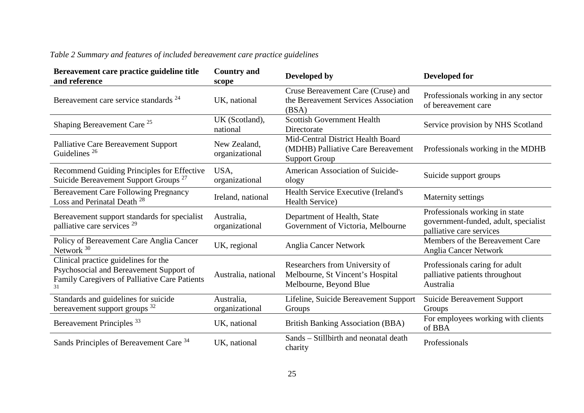| Bereavement care practice guideline title<br>and reference                                                                             | <b>Country and</b><br>scope    | Developed by                                                                                    | Developed for                                                                                      |
|----------------------------------------------------------------------------------------------------------------------------------------|--------------------------------|-------------------------------------------------------------------------------------------------|----------------------------------------------------------------------------------------------------|
| Bereavement care service standards <sup>24</sup>                                                                                       | UK, national                   | Cruse Bereavement Care (Cruse) and<br>the Bereavement Services Association<br>(BSA)             | Professionals working in any sector<br>of bereavement care                                         |
| Shaping Bereavement Care <sup>25</sup>                                                                                                 | UK (Scotland),<br>national     | <b>Scottish Government Health</b><br>Directorate                                                | Service provision by NHS Scotland                                                                  |
| <b>Palliative Care Bereavement Support</b><br>Guidelines <sup>26</sup>                                                                 | New Zealand,<br>organizational | Mid-Central District Health Board<br>(MDHB) Palliative Care Bereavement<br><b>Support Group</b> | Professionals working in the MDHB                                                                  |
| Recommend Guiding Principles for Effective<br>Suicide Bereavement Support Groups <sup>27</sup>                                         | USA,<br>organizational         | American Association of Suicide-<br>ology                                                       | Suicide support groups                                                                             |
| <b>Bereavement Care Following Pregnancy</b><br>Loss and Perinatal Death <sup>28</sup>                                                  | Ireland, national              | Health Service Executive (Ireland's<br><b>Health Service</b> )                                  | Maternity settings                                                                                 |
| Bereavement support standards for specialist<br>palliative care services <sup>29</sup>                                                 | Australia,<br>organizational   | Department of Health, State<br>Government of Victoria, Melbourne                                | Professionals working in state<br>government-funded, adult, specialist<br>palliative care services |
| Policy of Bereavement Care Anglia Cancer<br>Network <sup>30</sup>                                                                      | UK, regional                   | <b>Anglia Cancer Network</b>                                                                    | Members of the Bereavement Care<br>Anglia Cancer Network                                           |
| Clinical practice guidelines for the<br>Psychosocial and Bereavement Support of<br>Family Caregivers of Palliative Care Patients<br>31 | Australia, national            | Researchers from University of<br>Melbourne, St Vincent's Hospital<br>Melbourne, Beyond Blue    | Professionals caring for adult<br>palliative patients throughout<br>Australia                      |
| Standards and guidelines for suicide<br>bereavement support groups <sup>32</sup>                                                       | Australia,<br>organizational   | Lifeline, Suicide Bereavement Support<br>Groups                                                 | Suicide Bereavement Support<br>Groups                                                              |
| Bereavement Principles <sup>33</sup>                                                                                                   | UK, national                   | <b>British Banking Association (BBA)</b>                                                        | For employees working with clients<br>of BBA                                                       |
| Sands Principles of Bereavement Care 34                                                                                                | UK, national                   | Sands – Stillbirth and neonatal death<br>charity                                                | Professionals                                                                                      |

# *Table 2 Summary and features of included bereavement care practice guidelines*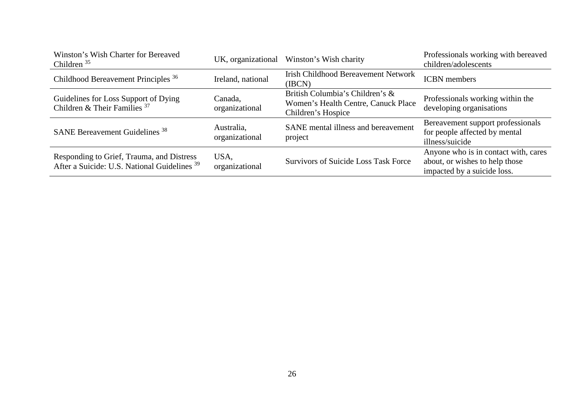| Winston's Wish Charter for Bereaved<br>Children $35$                                                 | UK, organizational           | Winston's Wish charity                                                                       | Professionals working with bereaved<br>children/adolescents                                           |
|------------------------------------------------------------------------------------------------------|------------------------------|----------------------------------------------------------------------------------------------|-------------------------------------------------------------------------------------------------------|
| Childhood Bereavement Principles <sup>36</sup>                                                       | Ireland, national            | <b>Irish Childhood Bereavement Network</b><br>(IBCN)                                         | <b>ICBN</b> members                                                                                   |
| Guidelines for Loss Support of Dying<br>Children & Their Families <sup>37</sup>                      | Canada,<br>organizational    | British Columbia's Children's &<br>Women's Health Centre, Canuck Place<br>Children's Hospice | Professionals working within the<br>developing organisations                                          |
| <b>SANE Bereavement Guidelines</b> <sup>38</sup>                                                     | Australia,<br>organizational | SANE mental illness and bereavement<br>project                                               | Bereavement support professionals<br>for people affected by mental<br>illness/suicide                 |
| Responding to Grief, Trauma, and Distress<br>After a Suicide: U.S. National Guidelines <sup>39</sup> | USA,<br>organizational       | <b>Survivors of Suicide Loss Task Force</b>                                                  | Anyone who is in contact with, cares<br>about, or wishes to help those<br>impacted by a suicide loss. |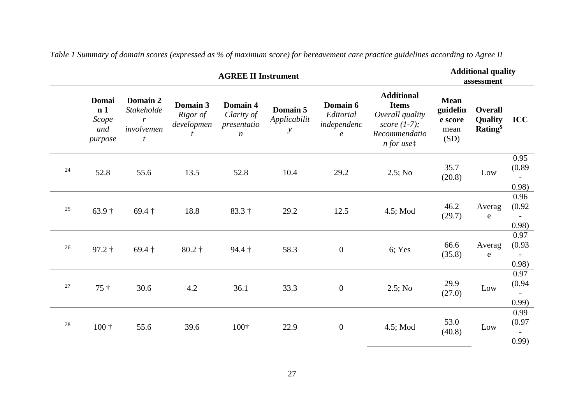| <b>AGREE II Instrument</b> |                                                    |                                                           |                                         |                                                           |                                           |                                                          |                                                                                                                    | <b>Additional quality</b><br>assessment            |                                                         |                                                     |
|----------------------------|----------------------------------------------------|-----------------------------------------------------------|-----------------------------------------|-----------------------------------------------------------|-------------------------------------------|----------------------------------------------------------|--------------------------------------------------------------------------------------------------------------------|----------------------------------------------------|---------------------------------------------------------|-----------------------------------------------------|
|                            | Domai<br>n <sub>1</sub><br>Scope<br>and<br>purpose | Domain 2<br>Stakeholde<br>$\mathbf{r}$<br>involvemen<br>t | Domain 3<br>Rigor of<br>developmen<br>t | Domain 4<br>Clarity of<br>presentatio<br>$\boldsymbol{n}$ | Domain 5<br>Applicabilit<br>$\mathcal{Y}$ | Domain 6<br>Editorial<br>independenc<br>$\boldsymbol{e}$ | <b>Additional</b><br><b>Items</b><br>Overall quality<br>score $(1-7)$ ;<br>Recommendatio<br>$n$ for use $\ddagger$ | <b>Mean</b><br>guidelin<br>e score<br>mean<br>(SD) | <b>Overall</b><br>Quality<br><b>Rating</b> <sup>§</sup> | <b>ICC</b>                                          |
| 24                         | 52.8                                               | 55.6                                                      | 13.5                                    | 52.8                                                      | 10.4                                      | 29.2                                                     | $2.5;$ No                                                                                                          | 35.7<br>(20.8)                                     | Low                                                     | 0.95<br>(0.89)<br>0.98)                             |
| 25                         | $63.9\dagger$                                      | $69.4\dagger$                                             | 18.8                                    | $83.3\dagger$                                             | 29.2                                      | 12.5                                                     | 4.5; Mod                                                                                                           | 46.2<br>(29.7)                                     | Averag<br>${\bf e}$                                     | 0.96<br>(0.92)<br>$\overline{\phantom{a}}$<br>0.98) |
| 26                         | $97.2 \dagger$                                     | $69.4\dagger$                                             | $80.2\dagger$                           | $94.4\dagger$                                             | 58.3                                      | $\boldsymbol{0}$                                         | 6; Yes                                                                                                             | 66.6<br>(35.8)                                     | Averag<br>e                                             | 0.97<br>(0.93)<br>$\overline{\phantom{0}}$<br>0.98) |
| 27                         | $75 +$                                             | 30.6                                                      | 4.2                                     | 36.1                                                      | 33.3                                      | $\boldsymbol{0}$                                         | $2.5;$ No                                                                                                          | 29.9<br>(27.0)                                     | Low                                                     | 0.97<br>(0.94)<br>0.99)                             |
| 28                         | $100 +$                                            | 55.6                                                      | 39.6                                    | 100†                                                      | 22.9                                      | $\boldsymbol{0}$                                         | $4.5$ ; Mod                                                                                                        | 53.0<br>(40.8)                                     | Low                                                     | 0.99<br>(0.97)<br>0.99                              |

*Table 1 Summary of domain scores (expressed as % of maximum score) for bereavement care practice guidelines according to Agree II*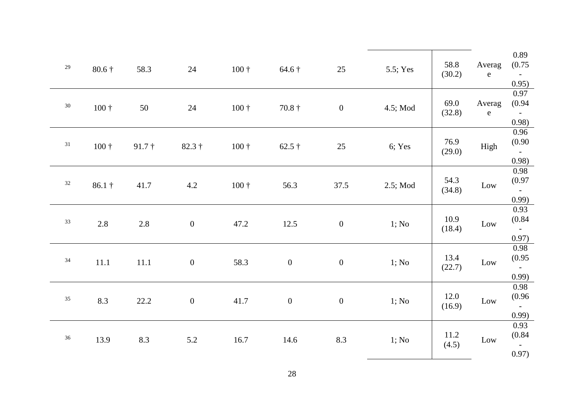| $29\,$ | $80.6\dagger$ | 58.3          | 24               | $100 +$      | $64.6\dagger$  | 25               | 5.5; Yes | 58.8<br>(30.2) | Averag<br>${\bf e}$ | 0.89<br>(0.75)<br>$\sim$ $ \sim$<br>0.95) |
|--------|---------------|---------------|------------------|--------------|----------------|------------------|----------|----------------|---------------------|-------------------------------------------|
| $30\,$ | $100 +$       | 50            | 24               | $100 +$      | $70.8\dagger$  | $\overline{0}$   | 4.5; Mod | 69.0<br>(32.8) | Averag<br>${\bf e}$ | 0.97<br>(0.94)<br>$\sim$ $-$<br>0.98)     |
| 31     | $100 +$       | $91.7\dagger$ | $82.3\dagger$    | $100 +$      | 62.5 $\dagger$ | 25               | 6; Yes   | 76.9<br>(29.0) | High                | 0.96<br>(0.90)<br>$\sim$<br>0.98)         |
| 32     | $86.1\dagger$ | 41.7          | 4.2              | $100\dagger$ | 56.3           | 37.5             | 2.5; Mod | 54.3<br>(34.8) | $_{\text{Low}}$     | 0.98<br>(0.97)<br>$\sim$ $-$<br>0.99)     |
| $33\,$ | 2.8           | 2.8           | $\overline{0}$   | 47.2         | 12.5           | $\boldsymbol{0}$ | 1; No    | 10.9<br>(18.4) | Low                 | 0.93<br>(0.84)<br>$\sim$ $\sim$<br>0.97)  |
| $34\,$ | 11.1          | 11.1          | $\boldsymbol{0}$ | 58.3         | $\mathbf{0}$   | $\boldsymbol{0}$ | 1; No    | 13.4<br>(22.7) | $_{\rm Low}$        | 0.98<br>(0.95)<br>$\sim$<br>0.99)         |
| $35\,$ | 8.3           | 22.2          | $\boldsymbol{0}$ | 41.7         | $\mathbf{0}$   | $\boldsymbol{0}$ | 1; No    | 12.0<br>(16.9) | $_{\rm Low}$        | 0.98<br>(0.96)<br>$\sim$<br>0.99)         |
| $36\,$ | 13.9          | 8.3           | 5.2              | 16.7         | 14.6           | 8.3              | 1; No    | 11.2<br>(4.5)  | Low                 | 0.93<br>(0.84)<br>$\sim$<br>0.97)         |